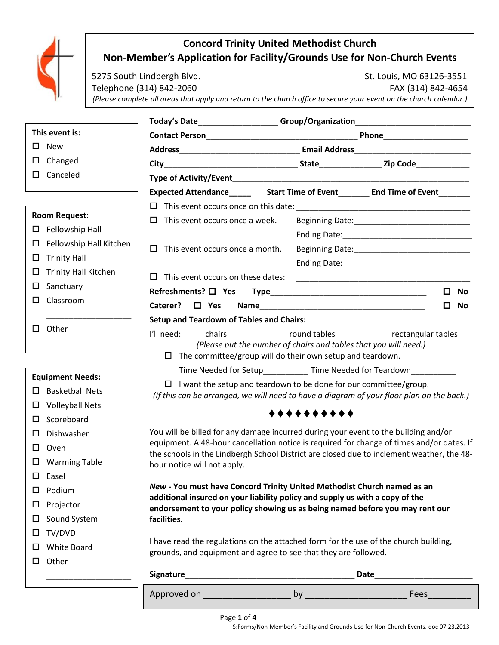

# **Concord Trinity United Methodist Church Non-Member's Application for Facility/Grounds Use for Non-Church Events**

5275 South Lindbergh Blvd. St. Louis, MO 63126-3551 Telephone (314) 842-2060 FAX (314) 842-4654 *(Please complete all areas that apply and return to the church office to secure your event on the church calendar.)*

|                                                             |                                                                                                                     |                                                                                                                                                                                                                                |                                                                                           | Today's Date_____________________Group/Organization_____________________________ |  |
|-------------------------------------------------------------|---------------------------------------------------------------------------------------------------------------------|--------------------------------------------------------------------------------------------------------------------------------------------------------------------------------------------------------------------------------|-------------------------------------------------------------------------------------------|----------------------------------------------------------------------------------|--|
| This event is:                                              |                                                                                                                     |                                                                                                                                                                                                                                |                                                                                           |                                                                                  |  |
| <b>New</b><br>□                                             |                                                                                                                     |                                                                                                                                                                                                                                |                                                                                           |                                                                                  |  |
| Changed<br>□                                                |                                                                                                                     |                                                                                                                                                                                                                                |                                                                                           |                                                                                  |  |
| Canceled<br>0.                                              |                                                                                                                     |                                                                                                                                                                                                                                |                                                                                           |                                                                                  |  |
|                                                             |                                                                                                                     | Expected Attendance Start Time of Event Start Time of Event Start Time of Event Start Time of Event Start Time of Event Start Time of Event Start Time of Event Start Time of Event Start Time of Event Start Time of Event St |                                                                                           |                                                                                  |  |
|                                                             |                                                                                                                     |                                                                                                                                                                                                                                |                                                                                           |                                                                                  |  |
| <b>Room Request:</b>                                        |                                                                                                                     | This event occurs once a week.<br>□                                                                                                                                                                                            |                                                                                           |                                                                                  |  |
| $\square$ Fellowship Hall                                   |                                                                                                                     |                                                                                                                                                                                                                                |                                                                                           |                                                                                  |  |
| □                                                           | Fellowship Hall Kitchen                                                                                             | This event occurs once a month.<br>$\Box$                                                                                                                                                                                      |                                                                                           |                                                                                  |  |
| <b>Trinity Hall</b><br>□                                    |                                                                                                                     |                                                                                                                                                                                                                                |                                                                                           |                                                                                  |  |
| □                                                           | <b>Trinity Hall Kitchen</b>                                                                                         | This event occurs on these dates:<br>П.                                                                                                                                                                                        |                                                                                           |                                                                                  |  |
| Sanctuary<br>ப                                              |                                                                                                                     | Refreshments? □ Yes                                                                                                                                                                                                            |                                                                                           | 0<br><b>No</b>                                                                   |  |
| Classroom<br>□                                              |                                                                                                                     | Caterer? $\Box$ Yes                                                                                                                                                                                                            |                                                                                           | <b>No</b><br>□                                                                   |  |
|                                                             |                                                                                                                     | <b>Setup and Teardown of Tables and Chairs:</b>                                                                                                                                                                                |                                                                                           |                                                                                  |  |
| $\square$ Other                                             |                                                                                                                     | I'll need: chairs                                                                                                                                                                                                              | round tables                                                                              | ________rectangular tables                                                       |  |
|                                                             |                                                                                                                     |                                                                                                                                                                                                                                | (Please put the number of chairs and tables that you will need.)                          |                                                                                  |  |
|                                                             |                                                                                                                     | $\Box$ The committee/group will do their own setup and teardown.                                                                                                                                                               |                                                                                           |                                                                                  |  |
| <b>Equipment Needs:</b><br><b>Basketball Nets</b><br>$\Box$ |                                                                                                                     | Time Needed for Setup____________ Time Needed for Teardown_                                                                                                                                                                    |                                                                                           |                                                                                  |  |
|                                                             |                                                                                                                     | I want the setup and teardown to be done for our committee/group.                                                                                                                                                              |                                                                                           |                                                                                  |  |
| ப                                                           | (If this can be arranged, we will need to have a diagram of your floor plan on the back.)<br><b>Volleyball Nets</b> |                                                                                                                                                                                                                                |                                                                                           |                                                                                  |  |
| Scoreboard<br>□                                             |                                                                                                                     |                                                                                                                                                                                                                                | $+ + + + + + + + +$                                                                       |                                                                                  |  |
| □                                                           | You will be billed for any damage incurred during your event to the building and/or<br>Dishwasher                   |                                                                                                                                                                                                                                |                                                                                           |                                                                                  |  |
| □<br>Oven                                                   |                                                                                                                     |                                                                                                                                                                                                                                | equipment. A 48-hour cancellation notice is required for change of times and/or dates. If |                                                                                  |  |
| <b>Warming Table</b><br>ப                                   |                                                                                                                     | the schools in the Lindbergh School District are closed due to inclement weather, the 48-                                                                                                                                      |                                                                                           |                                                                                  |  |
| Easel<br>□                                                  |                                                                                                                     | hour notice will not apply.                                                                                                                                                                                                    |                                                                                           |                                                                                  |  |
| Podium<br>ப                                                 |                                                                                                                     | New - You must have Concord Trinity United Methodist Church named as an                                                                                                                                                        |                                                                                           |                                                                                  |  |
| □                                                           |                                                                                                                     | additional insured on your liability policy and supply us with a copy of the                                                                                                                                                   |                                                                                           |                                                                                  |  |
| Projector                                                   |                                                                                                                     | endorsement to your policy showing us as being named before you may rent our                                                                                                                                                   |                                                                                           |                                                                                  |  |
| Sound System<br>□                                           |                                                                                                                     | facilities.                                                                                                                                                                                                                    |                                                                                           |                                                                                  |  |
| $\Box$ TV/DVD                                               |                                                                                                                     | I have read the regulations on the attached form for the use of the church building,                                                                                                                                           |                                                                                           |                                                                                  |  |
| □                                                           | White Board<br>grounds, and equipment and agree to see that they are followed.                                      |                                                                                                                                                                                                                                |                                                                                           |                                                                                  |  |
| $\square$ Other                                             |                                                                                                                     |                                                                                                                                                                                                                                |                                                                                           |                                                                                  |  |
|                                                             |                                                                                                                     |                                                                                                                                                                                                                                |                                                                                           |                                                                                  |  |
|                                                             |                                                                                                                     |                                                                                                                                                                                                                                |                                                                                           |                                                                                  |  |

Page **1** of **4**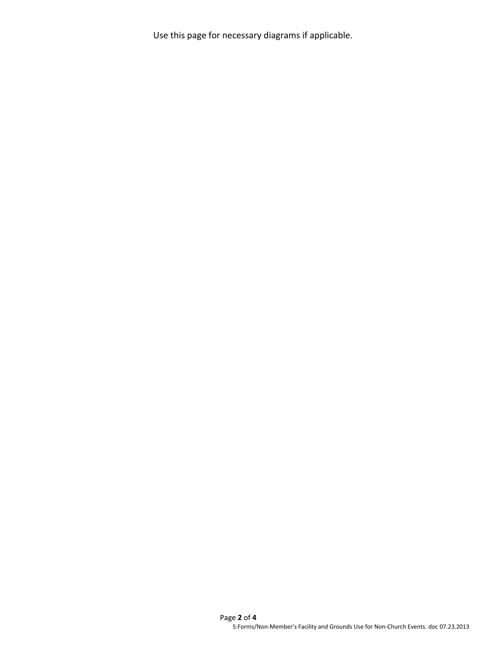Use this page for necessary diagrams if applicable.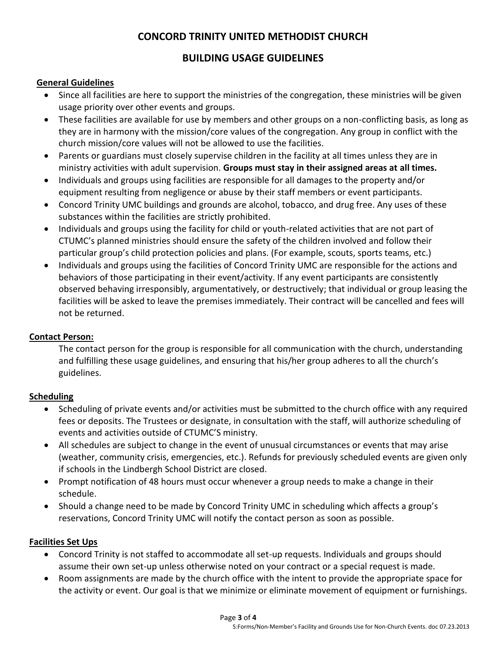## **CONCORD TRINITY UNITED METHODIST CHURCH**

## **BUILDING USAGE GUIDELINES**

#### **General Guidelines**

- Since all facilities are here to support the ministries of the congregation, these ministries will be given usage priority over other events and groups.
- These facilities are available for use by members and other groups on a non-conflicting basis, as long as they are in harmony with the mission/core values of the congregation. Any group in conflict with the church mission/core values will not be allowed to use the facilities.
- Parents or guardians must closely supervise children in the facility at all times unless they are in ministry activities with adult supervision. **Groups must stay in their assigned areas at all times.**
- Individuals and groups using facilities are responsible for all damages to the property and/or equipment resulting from negligence or abuse by their staff members or event participants.
- Concord Trinity UMC buildings and grounds are alcohol, tobacco, and drug free. Any uses of these substances within the facilities are strictly prohibited.
- Individuals and groups using the facility for child or youth-related activities that are not part of CTUMC's planned ministries should ensure the safety of the children involved and follow their particular group's child protection policies and plans. (For example, scouts, sports teams, etc.)
- Individuals and groups using the facilities of Concord Trinity UMC are responsible for the actions and behaviors of those participating in their event/activity. If any event participants are consistently observed behaving irresponsibly, argumentatively, or destructively; that individual or group leasing the facilities will be asked to leave the premises immediately. Their contract will be cancelled and fees will not be returned.

## **Contact Person:**

The contact person for the group is responsible for all communication with the church, understanding and fulfilling these usage guidelines, and ensuring that his/her group adheres to all the church's guidelines.

## **Scheduling**

- Scheduling of private events and/or activities must be submitted to the church office with any required fees or deposits. The Trustees or designate, in consultation with the staff, will authorize scheduling of events and activities outside of CTUMC'S ministry.
- All schedules are subject to change in the event of unusual circumstances or events that may arise (weather, community crisis, emergencies, etc.). Refunds for previously scheduled events are given only if schools in the Lindbergh School District are closed.
- Prompt notification of 48 hours must occur whenever a group needs to make a change in their schedule.
- Should a change need to be made by Concord Trinity UMC in scheduling which affects a group's reservations, Concord Trinity UMC will notify the contact person as soon as possible.

## **Facilities Set Ups**

- Concord Trinity is not staffed to accommodate all set-up requests. Individuals and groups should assume their own set-up unless otherwise noted on your contract or a special request is made.
- Room assignments are made by the church office with the intent to provide the appropriate space for the activity or event. Our goal is that we minimize or eliminate movement of equipment or furnishings.